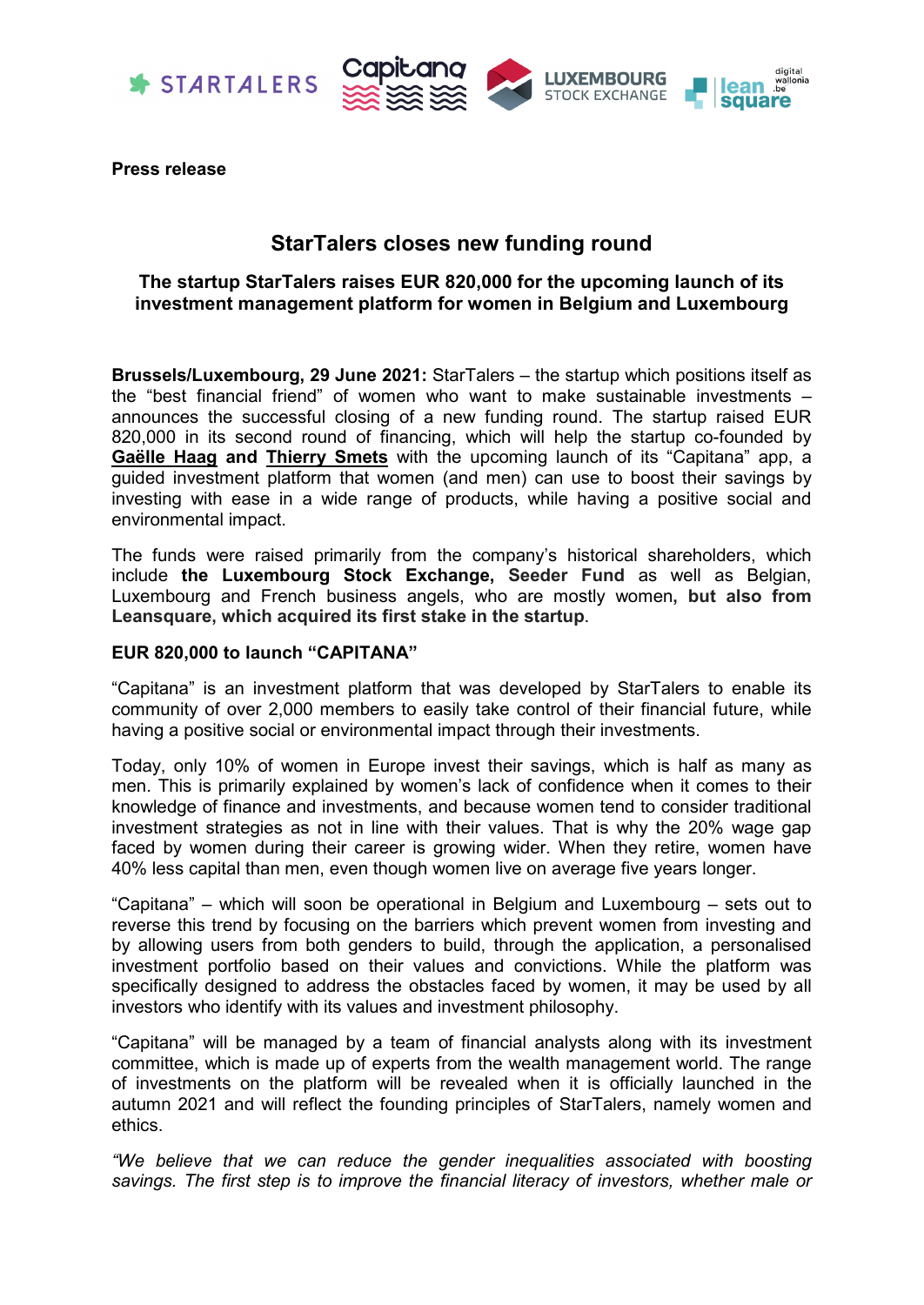



**Press release**

# **StarTalers closes new funding round**

## **The startup StarTalers raises EUR 820,000 for the upcoming launch of its investment management platform for women in Belgium and Luxembourg**

**Brussels/Luxembourg, 29 June 2021:** StarTalers – the startup which positions itself as the "best financial friend" of women who want to make sustainable investments – announces the successful closing of a new funding round. The startup raised EUR 820,000 in its second round of financing, which will help the startup co-founded by **[Gaëlle Haag](https://www.linkedin.com/in/gaelle-haag/) and [Thierry Smets](https://www.linkedin.com/in/thierry-smets/?originalSubdomain=be)** with the upcoming launch of its "Capitana" app, a guided investment platform that women (and men) can use to boost their savings by investing with ease in a wide range of products, while having a positive social and environmental impact.

The funds were raised primarily from the company's historical shareholders, which include **the Luxembourg Stock Exchange, Seeder Fund** as well as Belgian, Luxembourg and French business angels, who are mostly women**, but also from Leansquare, which acquired its first stake in the startup**.

## **EUR 820,000 to launch "CAPITANA"**

"Capitana" is an investment platform that was developed by StarTalers to enable its community of over 2,000 members to easily take control of their financial future, while having a positive social or environmental impact through their investments.

Today, only 10% of women in Europe invest their savings, which is half as many as men. This is primarily explained by women's lack of confidence when it comes to their knowledge of finance and investments, and because women tend to consider traditional investment strategies as not in line with their values. That is why the 20% wage gap faced by women during their career is growing wider. When they retire, women have 40% less capital than men, even though women live on average five years longer.

"Capitana" – which will soon be operational in Belgium and Luxembourg – sets out to reverse this trend by focusing on the barriers which prevent women from investing and by allowing users from both genders to build, through the application, a personalised investment portfolio based on their values and convictions. While the platform was specifically designed to address the obstacles faced by women, it may be used by all investors who identify with its values and investment philosophy.

"Capitana" will be managed by a team of financial analysts along with its investment committee, which is made up of experts from the wealth management world. The range of investments on the platform will be revealed when it is officially launched in the autumn 2021 and will reflect the founding principles of StarTalers, namely women and ethics.

*"We believe that we can reduce the gender inequalities associated with boosting savings. The first step is to improve the financial literacy of investors, whether male or*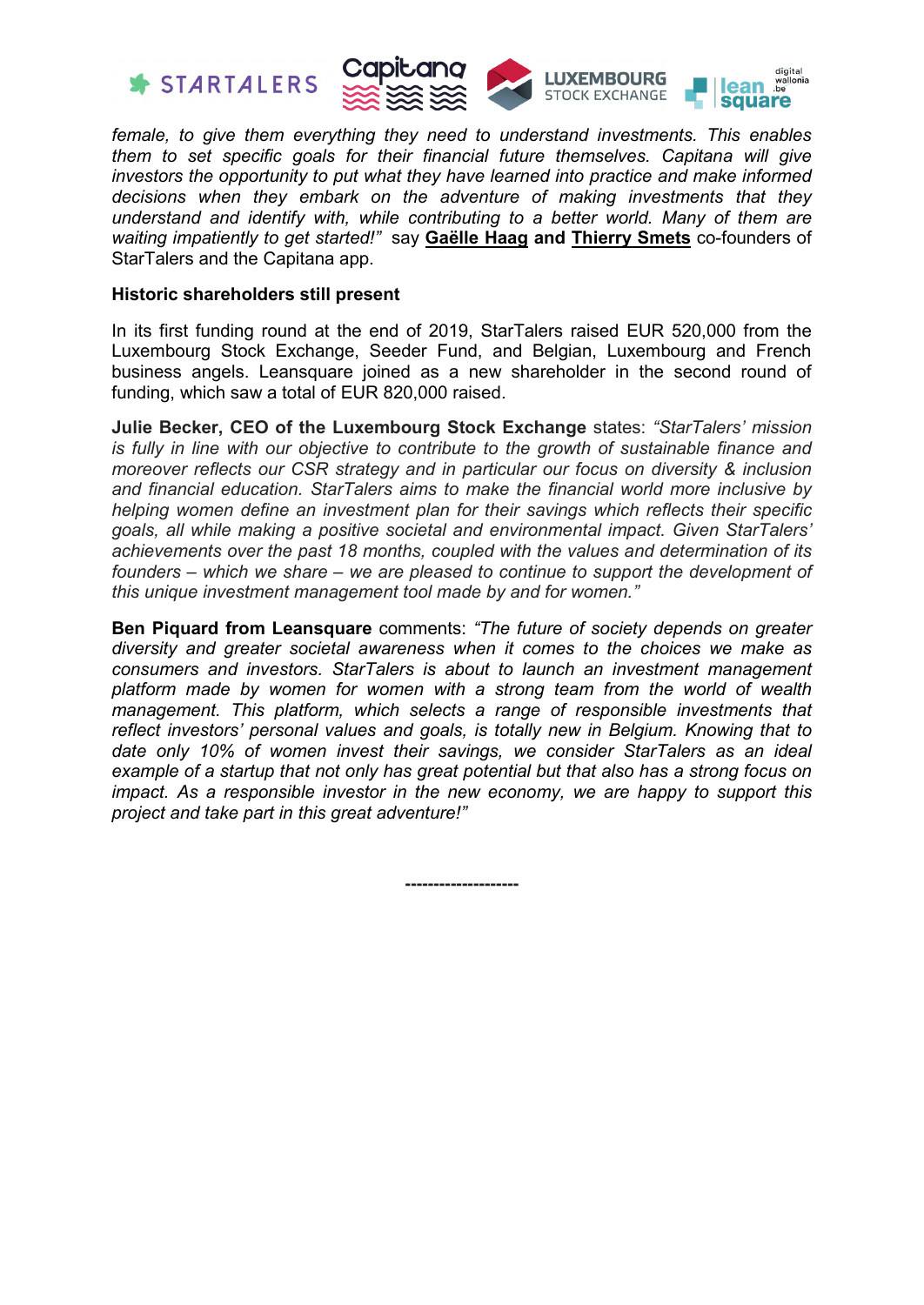



*female, to give them everything they need to understand investments. This enables them to set specific goals for their financial future themselves. Capitana will give investors the opportunity to put what they have learned into practice and make informed decisions when they embark on the adventure of making investments that they understand and identify with, while contributing to a better world. Many of them are waiting impatiently to get started!"* say **[Gaëlle Haag](https://www.linkedin.com/in/gaelle-haag/) and [Thierry Smets](https://www.linkedin.com/in/thierry-smets/?originalSubdomain=be)** co-founders of StarTalers and the Capitana app.

## **Historic shareholders still present**

In its first funding round at the end of 2019, StarTalers raised EUR 520,000 from the Luxembourg Stock Exchange, Seeder Fund, and Belgian, Luxembourg and French business angels. Leansquare joined as a new shareholder in the second round of funding, which saw a total of EUR 820,000 raised.

**Julie Becker, CEO of the Luxembourg Stock Exchange** states: *"StarTalers' mission is fully in line with our objective to contribute to the growth of sustainable finance and moreover reflects our CSR strategy and in particular our focus on diversity & inclusion and financial education. StarTalers aims to make the financial world more inclusive by helping women define an investment plan for their savings which reflects their specific goals, all while making a positive societal and environmental impact. Given StarTalers' achievements over the past 18 months, coupled with the values and determination of its founders – which we share – we are pleased to continue to support the development of this unique investment management tool made by and for women."*

**Ben Piquard from Leansquare** comments: *"The future of society depends on greater diversity and greater societal awareness when it comes to the choices we make as consumers and investors. StarTalers is about to launch an investment management platform made by women for women with a strong team from the world of wealth management. This platform, which selects a range of responsible investments that reflect investors' personal values and goals, is totally new in Belgium. Knowing that to date only 10% of women invest their savings, we consider StarTalers as an ideal example of a startup that not only has great potential but that also has a strong focus on impact. As a responsible investor in the new economy, we are happy to support this project and take part in this great adventure!"*

**--------------------**